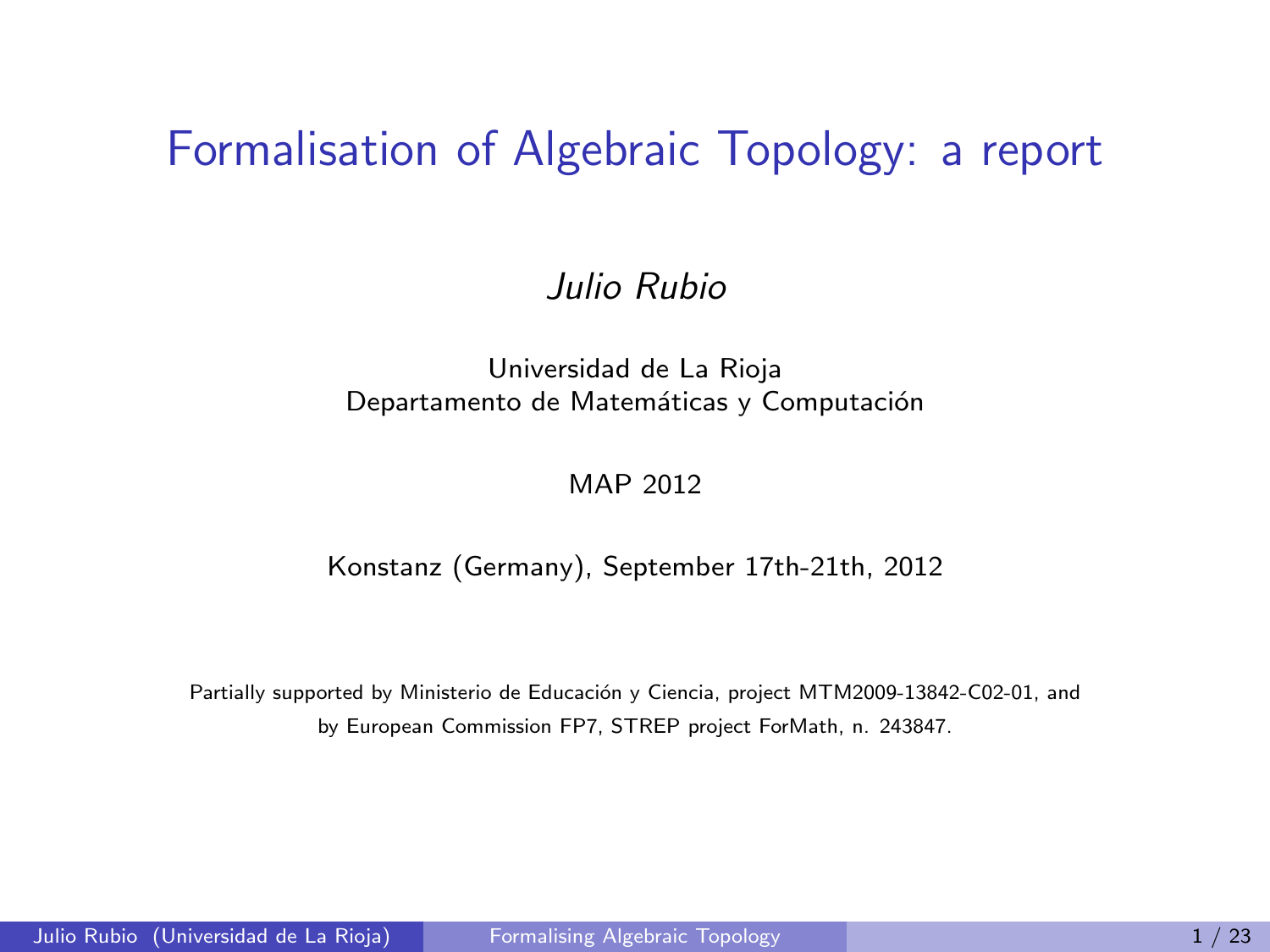#### Formalisation of Algebraic Topology: a report

#### Julio Rubio

#### Universidad de La Rioja Departamento de Matemáticas y Computación

#### <span id="page-0-0"></span>MAP 2012

#### Konstanz (Germany), September 17th-21th, 2012

Partially supported by Ministerio de Educación y Ciencia, project MTM2009-13842-C02-01, and by European Commission FP7, STREP project ForMath, n. 243847.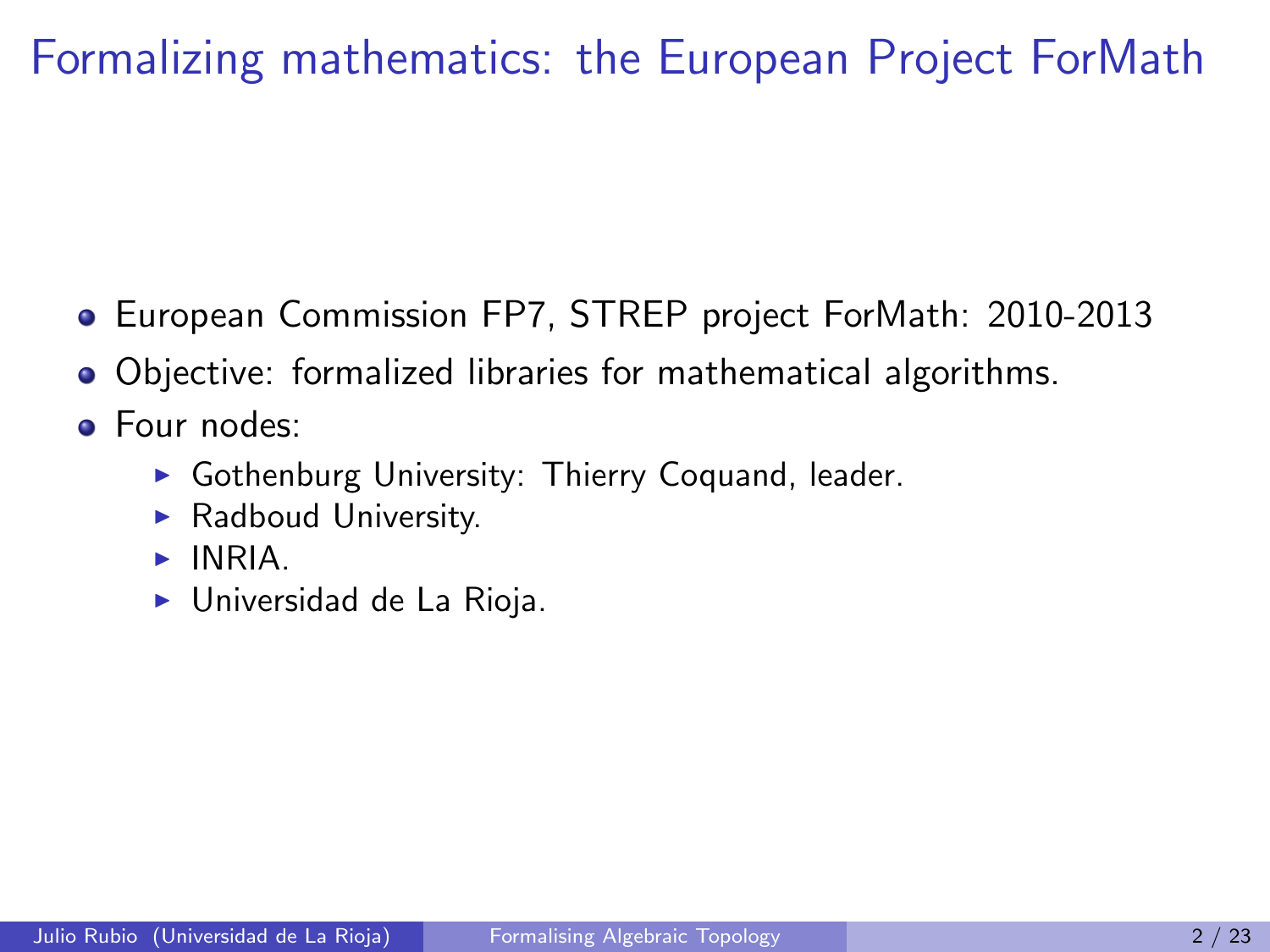# Formalizing mathematics: the European Project ForMath

- European Commission FP7, STREP project ForMath: 2010-2013
- Objective: formalized libraries for mathematical algorithms.
- Four nodes:
	- $\triangleright$  Gothenburg University: Thierry Coquand, leader.
	- $\blacktriangleright$  Radboud University.
	- $\blacktriangleright$  INRIA.
	- $\blacktriangleright$  Universidad de La Rioja.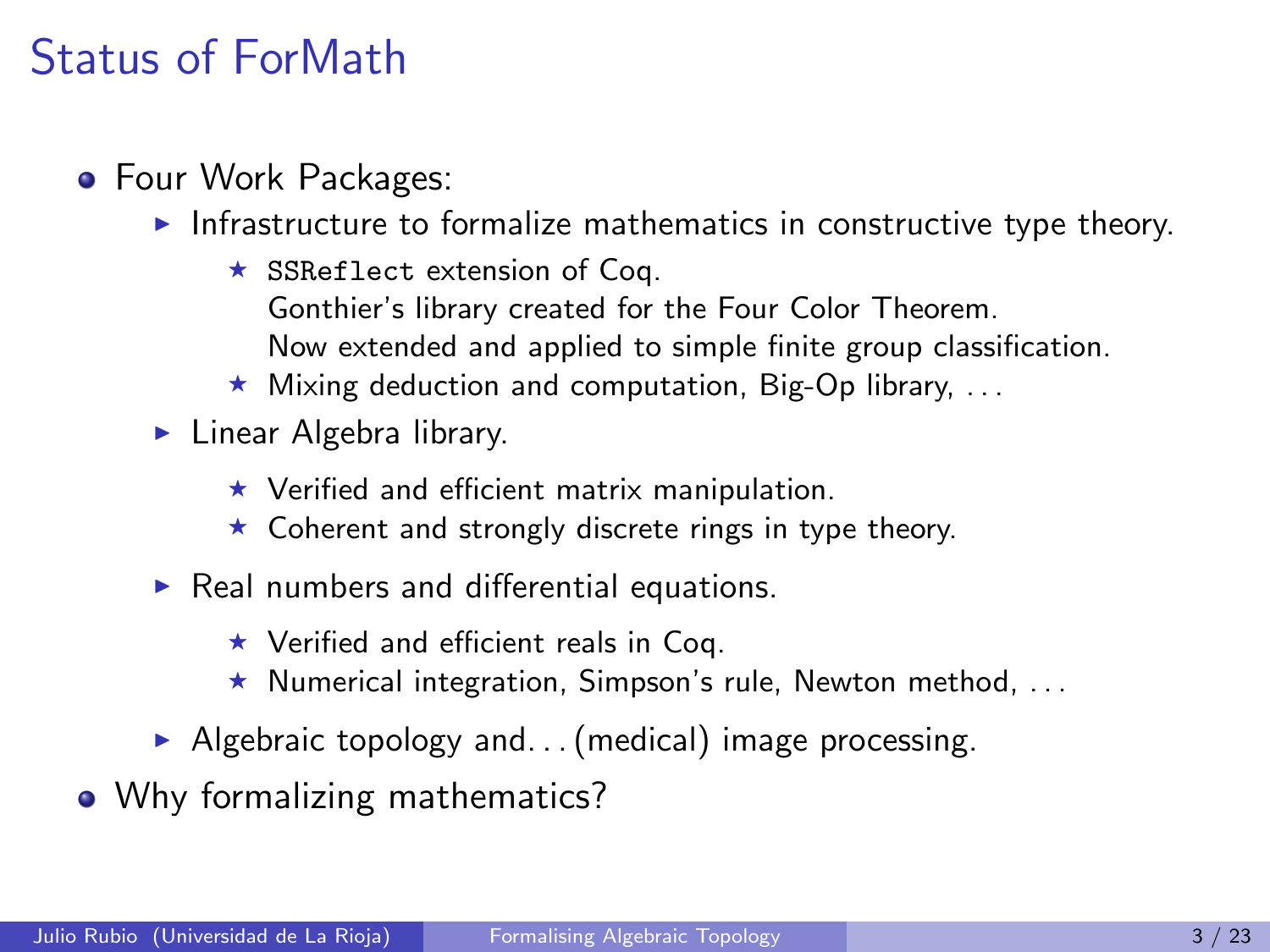### Status of ForMath

- **•** Four Work Packages:
	- $\blacktriangleright$  Infrastructure to formalize mathematics in constructive type theory.
		- $\star$  SSReflect extension of Coq. Gonthier's library created for the Four Color Theorem. Now extended and applied to simple finite group classification.
		- $\star$  Mixing deduction and computation, Big-Op library, ...
	- $\blacktriangleright$  Linear Algebra library.
		- $\star$  Verified and efficient matrix manipulation.
		- $\star$  Coherent and strongly discrete rings in type theory.
	- $\triangleright$  Real numbers and differential equations.
		- $\star$  Verified and efficient reals in Coq.
		- $\star$  Numerical integration, Simpson's rule, Newton method, ...
	- Algebraic topology and... (medical) image processing.
- Why formalizing mathematics?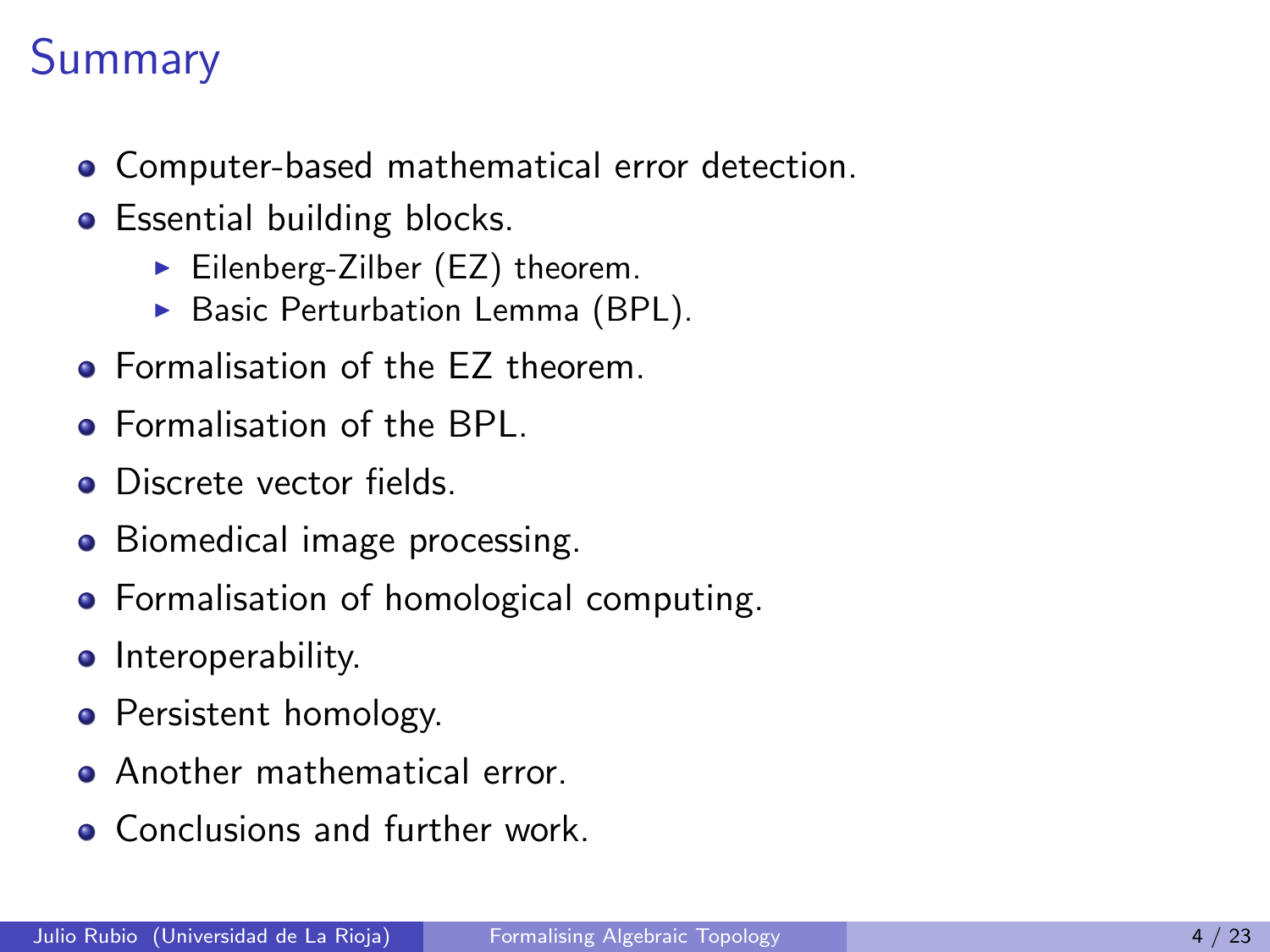# **Summary**

- Computer-based mathematical error detection.
- **•** Essential building blocks.
	- $\blacktriangleright$  Eilenberg-Zilber (EZ) theorem.
	- $\triangleright$  Basic Perturbation Lemma (BPL).
- **Formalisation of the FZ theorem.**
- **•** Formalisation of the BPL.
- **·** Discrete vector fields.
- Biomedical image processing.
- **•** Formalisation of homological computing.
- **•** Interoperability.
- Persistent homology.
- **Another mathematical error.**
- **Conclusions and further work.**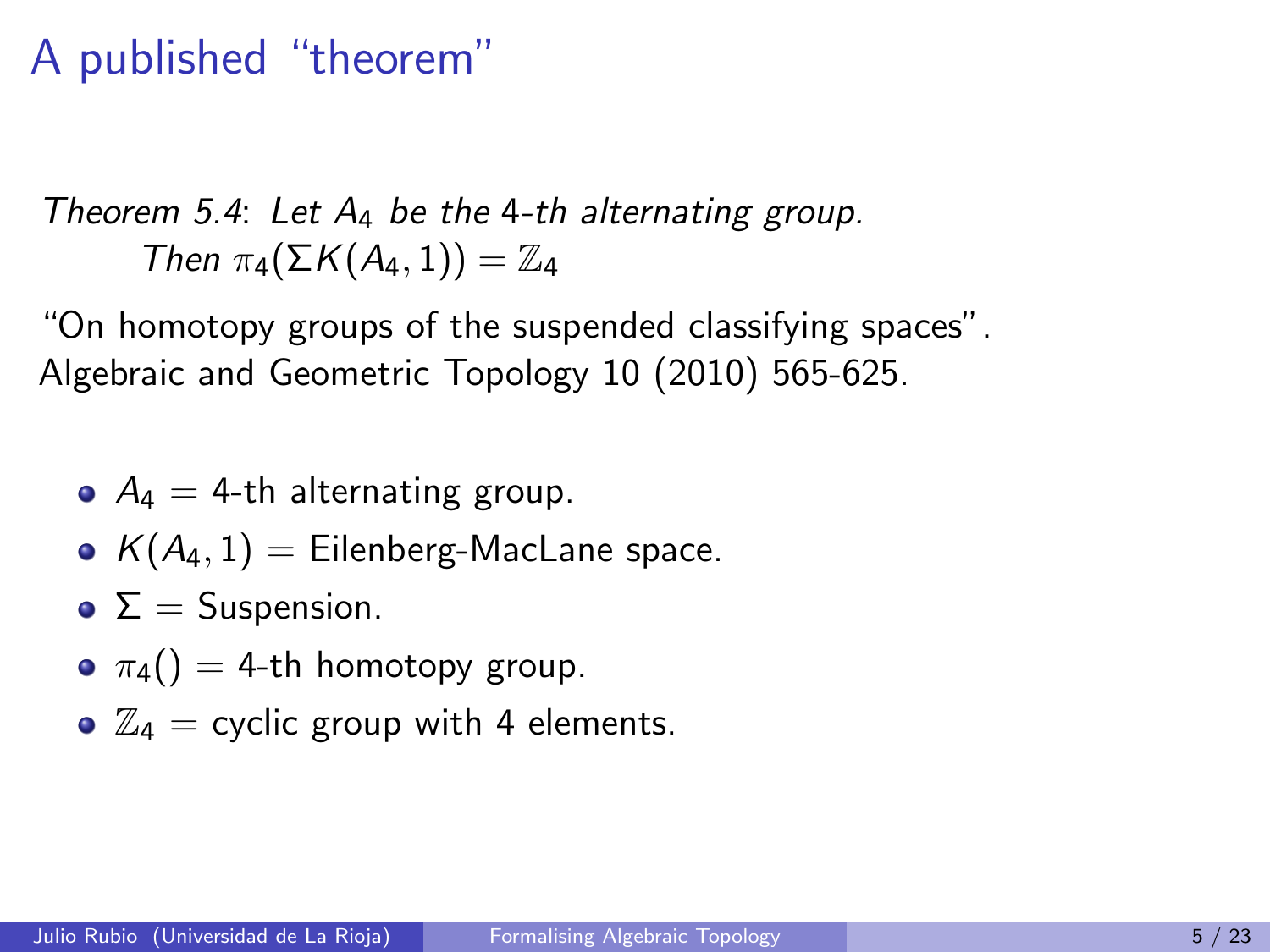#### A published "theorem"

Theorem 5.4: Let 
$$
A_4
$$
 be the 4-th alternating group.  
Then  $\pi_4(\Sigma K(A_4, 1)) = \mathbb{Z}_4$ 

"On homotopy groups of the suspended classifying spaces". Algebraic and Geometric Topology 10 (2010) 565-625.

- $A_4 = 4$ -th alternating group.
- $K(A_4, 1) =$  Eilenberg-MacLane space.
- $\bullet \Sigma =$  Suspension.
- $\sigma$   $\pi_4() = 4$ -th homotopy group.
- $\bullet$   $\mathbb{Z}_4$  = cyclic group with 4 elements.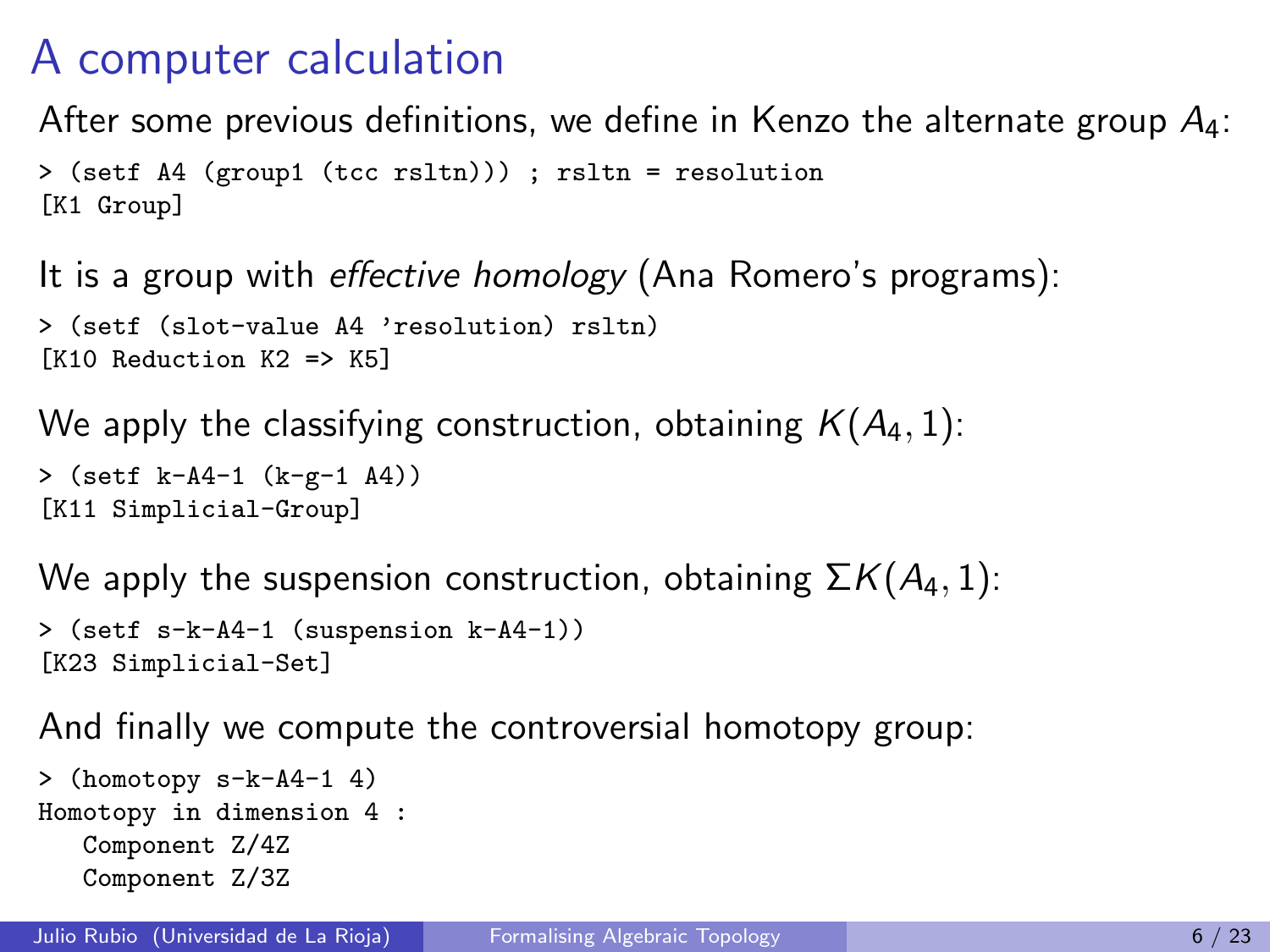### A computer calculation

After some previous definitions, we define in Kenzo the alternate group  $A_4$ :

```
> (setf A4 (group1 (tcc rsltn))) ; rsltn = resolution
[K1 Group]
```
It is a group with effective homology (Ana Romero's programs):

```
> (setf (slot-value A4 'resolution) rsltn)
[K10 Reduction K2 => K5]
```
We apply the classifying construction, obtaining  $K(A_4, 1)$ :

```
> (setf k-A4-1 (k-g-1 A4))
[K11 Simplicial-Group]
```
We apply the suspension construction, obtaining  $\Sigma K(A_4, 1)$ : > (setf s-k-A4-1 (suspension k-A4-1)) [K23 Simplicial-Set]

And finally we compute the controversial homotopy group:

```
> (homotopy s-k-A4-1 4)
Homotopy in dimension 4 :
  Component Z/4Z
  Component Z/3Z
```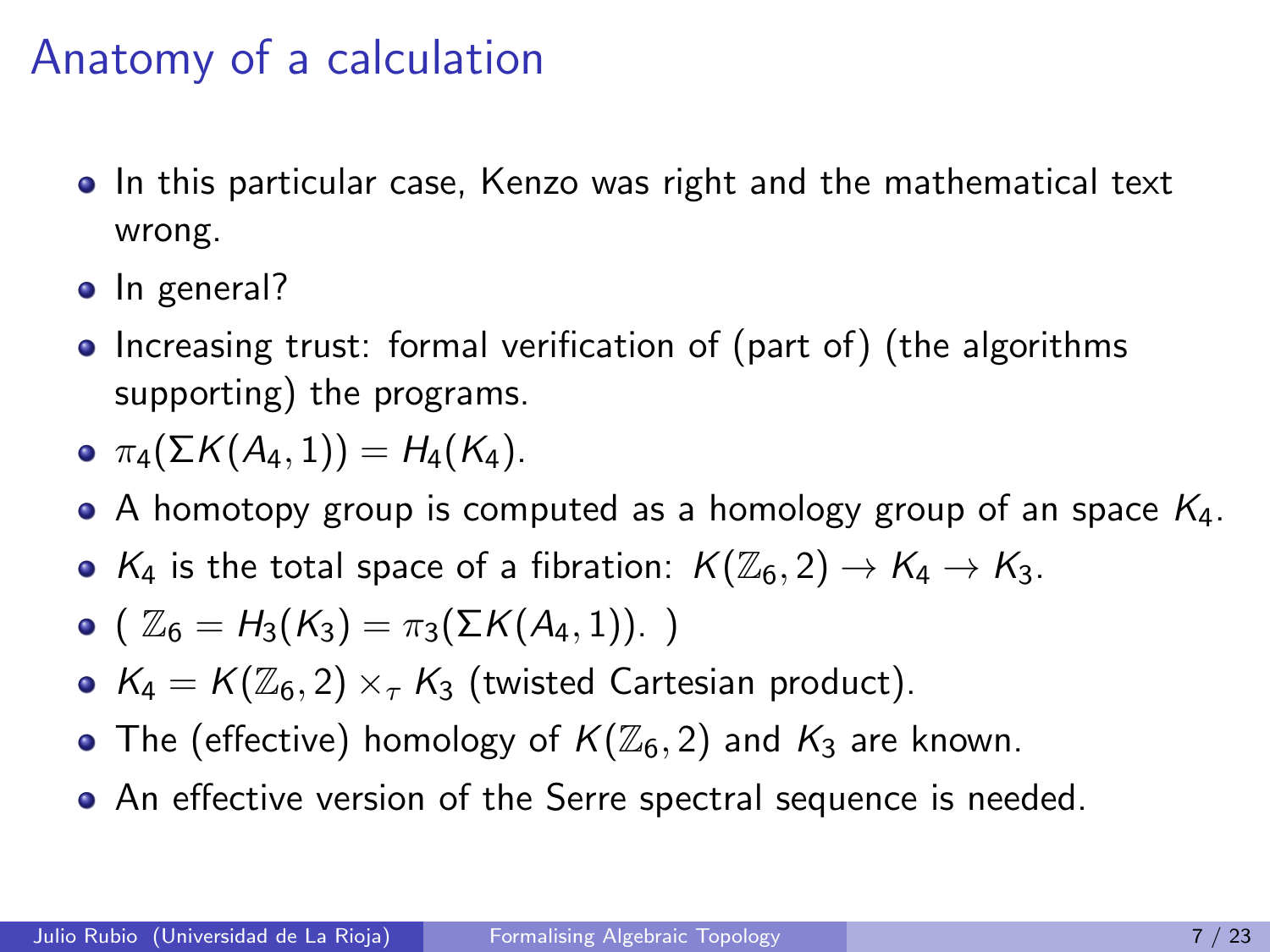#### Anatomy of a calculation

- In this particular case, Kenzo was right and the mathematical text wrong.
- In general?
- Increasing trust: formal verification of (part of) (the algorithms supporting) the programs.

$$
\bullet \ \pi_4(\Sigma K(A_4,1))=H_4(K_4).
$$

- A homotopy group is computed as a homology group of an space  $K_4$ .
- $K_4$  is the total space of a fibration:  $K(\mathbb{Z}_6, 2) \to K_4 \to K_3$ .

• 
$$
(\mathbb{Z}_6 = H_3(K_3) = \pi_3(\Sigma K(A_4, 1)).
$$
 )

- $K_4 = K(\mathbb{Z}_6, 2) \times_{\tau} K_3$  (twisted Cartesian product).
- The (effective) homology of  $K(\mathbb{Z}_6, 2)$  and  $K_3$  are known.
- An effective version of the Serre spectral sequence is needed.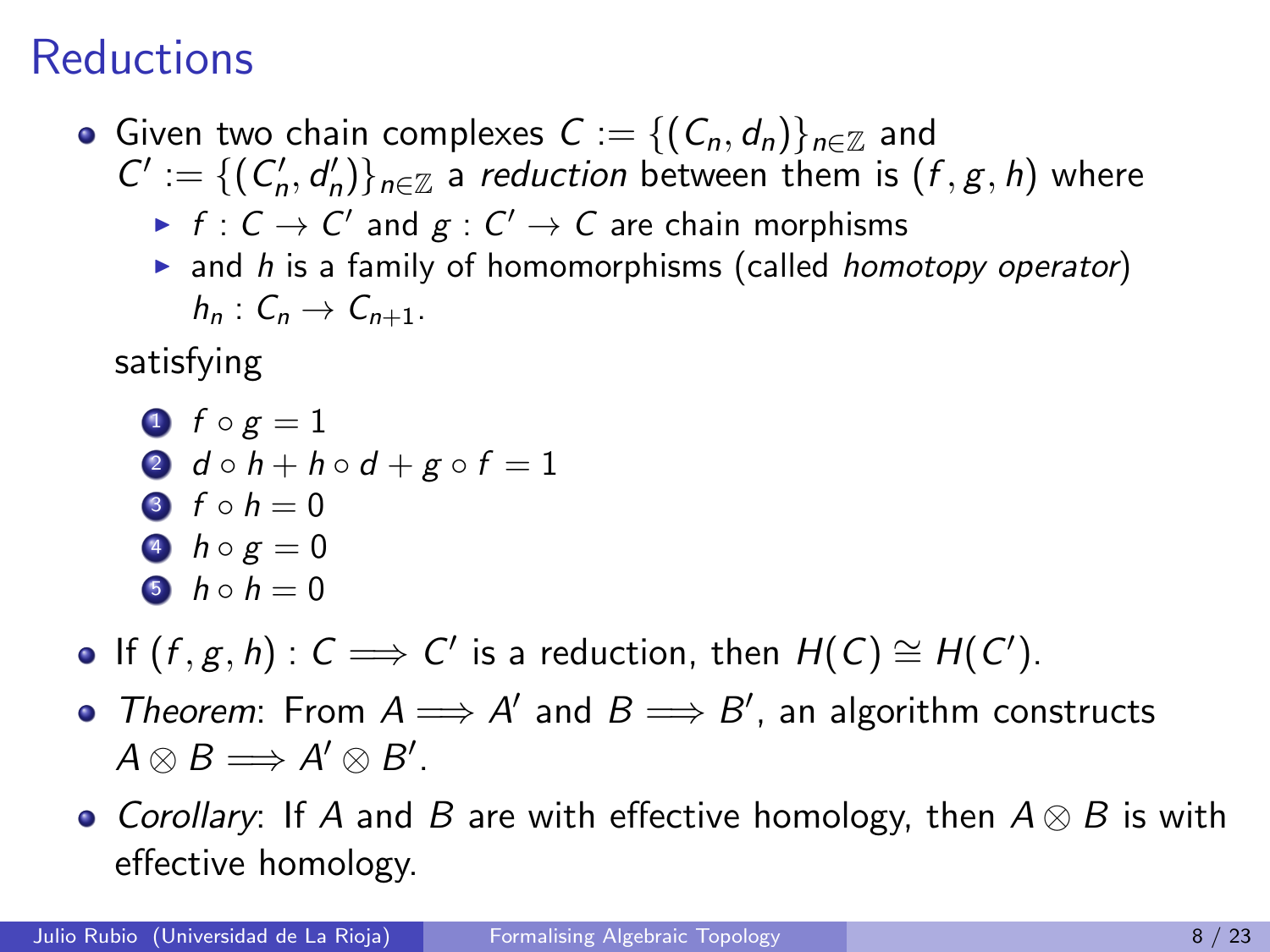### **Reductions**

- Given two chain complexes  $C := \{ (C_n, d_n) \}_{n \in \mathbb{Z}}$  and  $C' := \{ (C'_n, d'_n) \}_{n \in \mathbb{Z}}$  a reduction between them is  $(f, g, h)$  where
	- $\blacktriangleright$   $f: \mathsf{C}\to\mathsf{C}'$  and  $g:\mathsf{C}'\to\mathsf{C}$  are chain morphisms
	- $\triangleright$  and h is a family of homomorphisms (called homotopy operator)  $h_n: C_n \to C_{n+1}$ .

satisfying

- $\bullet$  f  $\circ$  g = 1 2  $d \circ h + h \circ d + g \circ f = 1$ 3  $f \circ h = 0$ 4  $h \circ g = 0$ 5  $h \circ h = 0$
- If  $(f, g, h)$  :  $C \implies C'$  is a reduction, then  $H(C) \cong H(C')$ .
- Theorem: From  $A \Longrightarrow A'$  and  $B \Longrightarrow B'$ , an algorithm constructs  $A \otimes B \Longrightarrow A' \otimes B'.$
- Corollary: If A and B are with effective homology, then  $A \otimes B$  is with effective homology.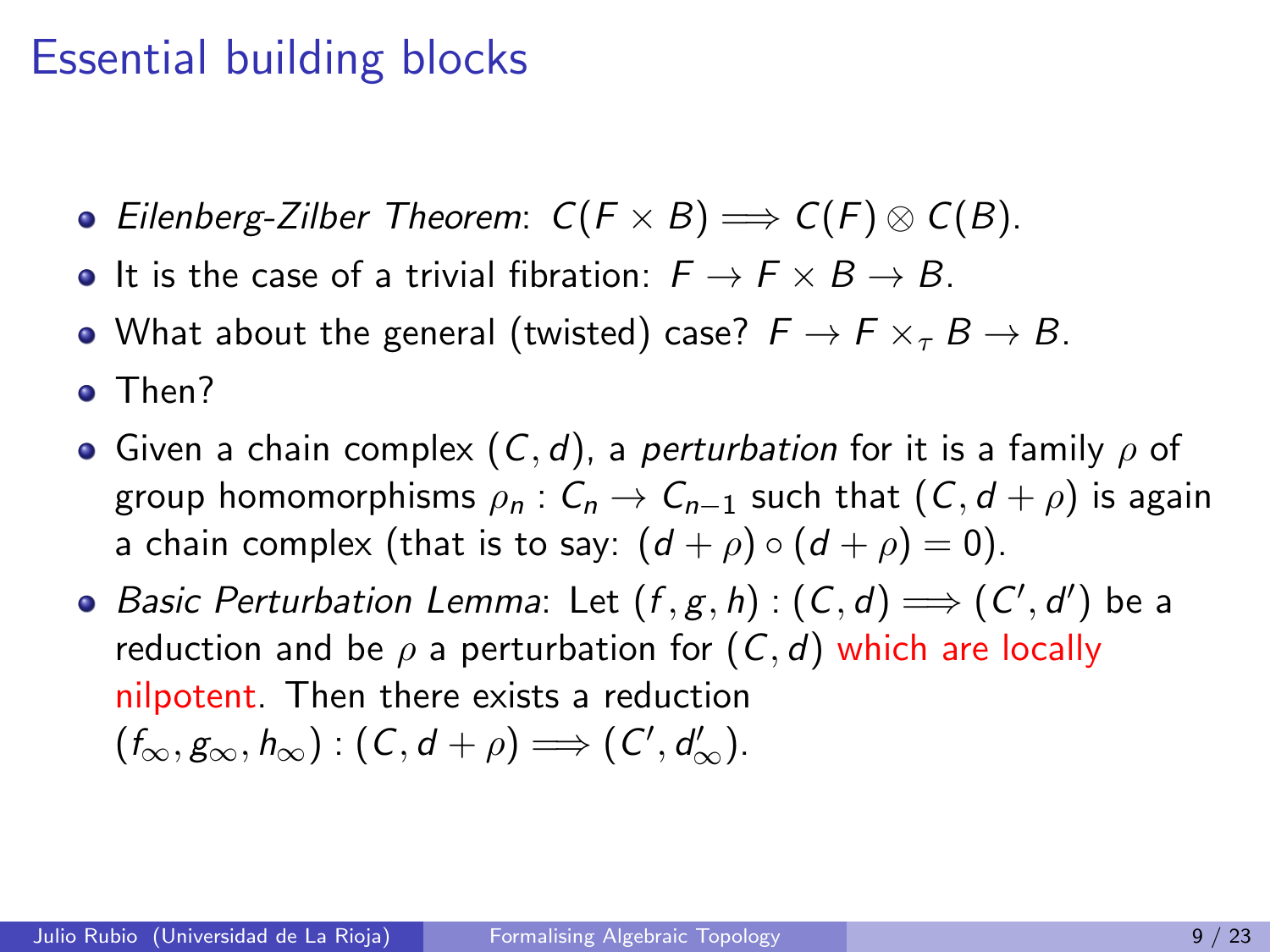#### Essential building blocks

- Eilenberg-Zilber Theorem:  $C(F \times B) \Longrightarrow C(F) \otimes C(B)$ .
- It is the case of a trivial fibration:  $F \rightarrow F \times B \rightarrow B$ .
- What about the general (twisted) case?  $F \to F \times_{\tau} B \to B$ .
- Then?
- Given a chain complex  $(C, d)$ , a perturbation for it is a family  $\rho$  of group homomorphisms  $\rho_n$  :  $C_n \to C_{n-1}$  such that  $(C, d + \rho)$  is again a chain complex (that is to say:  $(d + \rho) \circ (d + \rho) = 0$ ).
- Basic Perturbation Lemma: Let  $(f, g, h) : (C, d) \Longrightarrow (C', d')$  be a reduction and be  $\rho$  a perturbation for  $(C, d)$  which are locally nilpotent. Then there exists a reduction  $(f_{\infty}, g_{\infty}, h_{\infty}) : (C, d + \rho) \Longrightarrow (C', d'_{\infty}).$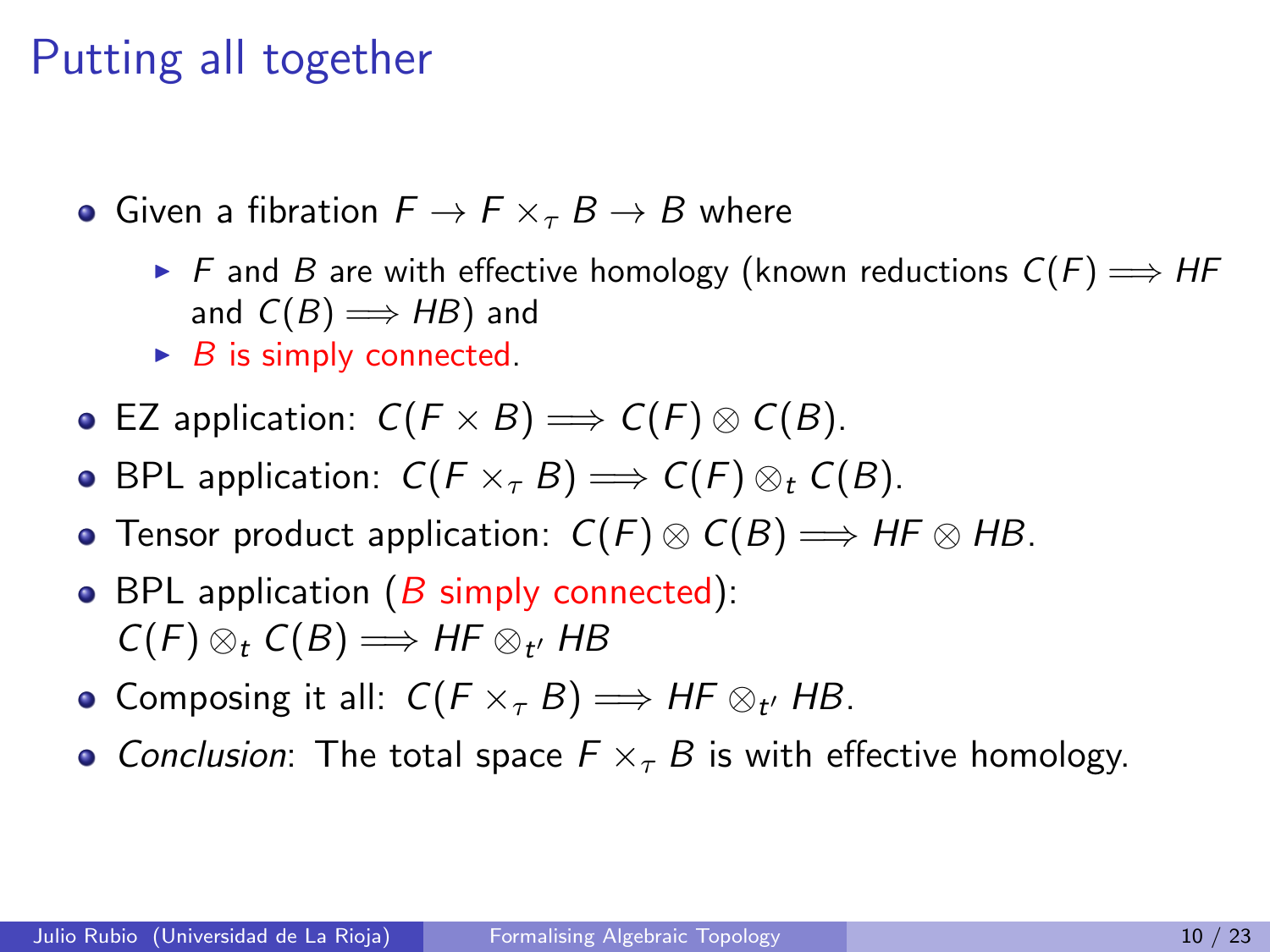#### Putting all together

- Given a fibration  $F \to F \times_{\tau} B \to B$  where
	- ► F and B are with effective homology (known reductions  $C(F) \Longrightarrow HF$ and  $C(B) \Longrightarrow HB$  and
	- $\triangleright$  B is simply connected.
- **•** EZ application:  $C(F \times B)$  ⇒  $C(F) \otimes C(B)$ .
- BPL application:  $C(F \times_{\tau} B) \Longrightarrow C(F) \otimes_{t} C(B)$ .
- Tensor product application:  $C(F) \otimes C(B) \Longrightarrow HF \otimes HB$ .
- BPL application  $(B \text{ simply connected})$ :  $C(F)\otimes_t C(B)\Longrightarrow H\!F\otimes_{t'}H\!B$
- Composing it all:  $C(F \times_{\tau} B) \Longrightarrow HF \otimes_{t'} HB$ .
- Conclusion: The total space  $F \times_{\tau} B$  is with effective homology.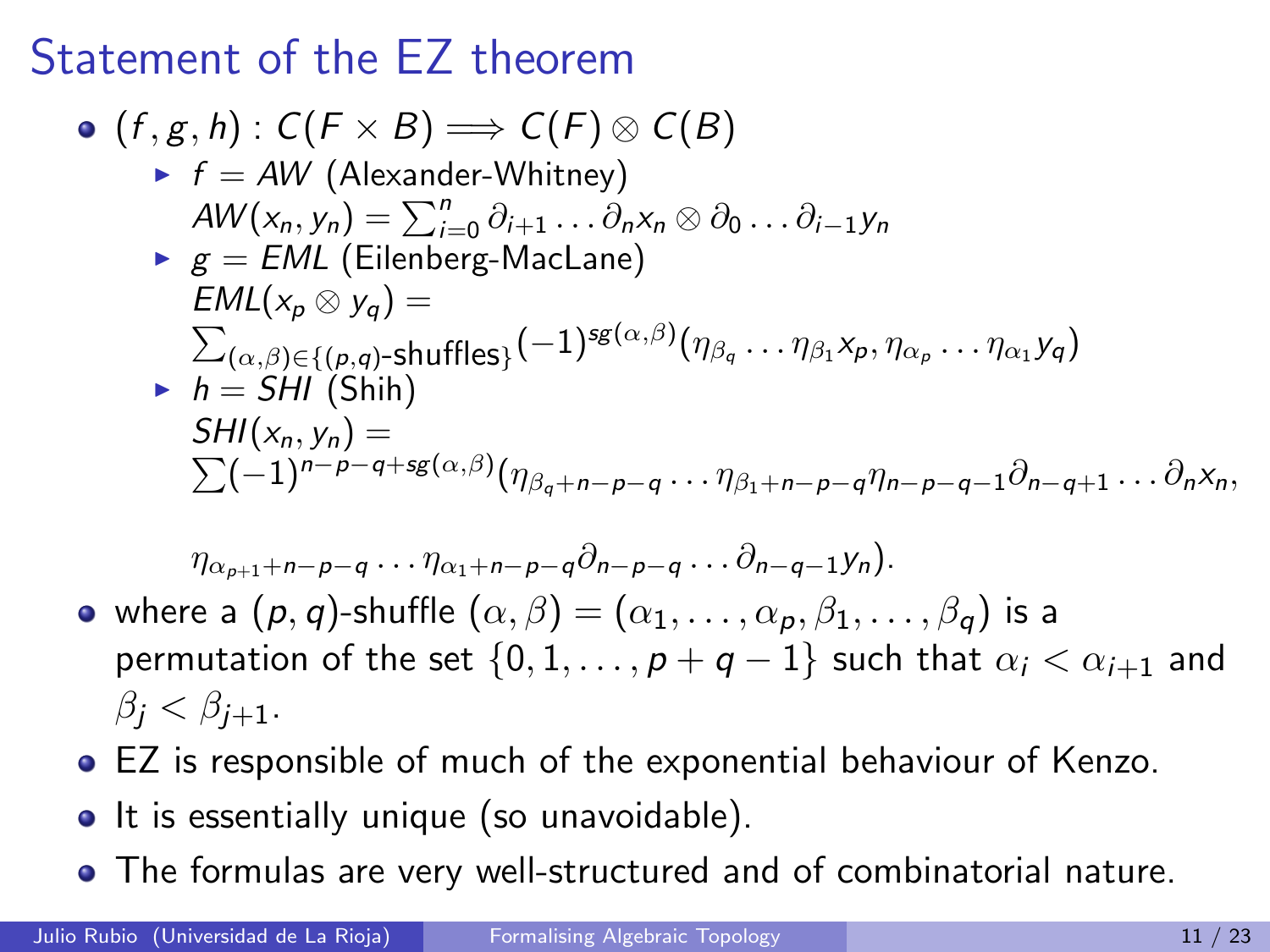#### Statement of the EZ theorem

\n- \n
$$
(f, g, h) : C(F \times B) \Longrightarrow C(F) \otimes C(B)
$$
\n
\n- \n $f = AW$  (Alexander-Whitney)\n  $AW(x_n, y_n) = \sum_{i=0}^n \partial_{i+1} \ldots \partial_n x_n \otimes \partial_0 \ldots \partial_{i-1} y_n$ \n
\n- \n $g = EML$  (Eilenberg-Maclane)\n  $EML(x_p \otimes y_q) = \sum_{(\alpha, \beta) \in \{(p, q)\text{-}shuffles\}} (-1)^{sg(\alpha, \beta)} (\eta_{\beta_q} \ldots \eta_{\beta_1} x_p, \eta_{\alpha_p} \ldots \eta_{\alpha_1} y_q)$ \n
\n- \n $h = SHI$  (Shih)\n  $SHI(x_n, y_n) = \sum (-1)^{n-p-q+\text{sg}(\alpha, \beta)} (\eta_{\beta_q+n-p-q} \ldots \eta_{\beta_1+n-p-q} \eta_{n-p-q-1} \partial_{n-q+1} \ldots \partial_n x_n)$ \n
\n

$$
\eta_{\alpha_{p+1}+n-p-q}\ldots\eta_{\alpha_1+n-p-q}\partial_{n-p-q}\ldots\partial_{n-q-1}y_n).
$$

- where a  $(p, q)$ -shuffle  $(\alpha, \beta) = (\alpha_1, \dots, \alpha_p, \beta_1, \dots, \beta_q)$  is a permutation of the set  $\{0, 1, \ldots, p + q - 1\}$  such that  $\alpha_i < \alpha_{i+1}$  and  $\beta_i < \beta_{i+1}$ .
- EZ is responsible of much of the exponential behaviour of Kenzo.
- It is essentially unique (so unavoidable).
- The formulas are very well-structured and of combinatorial nature.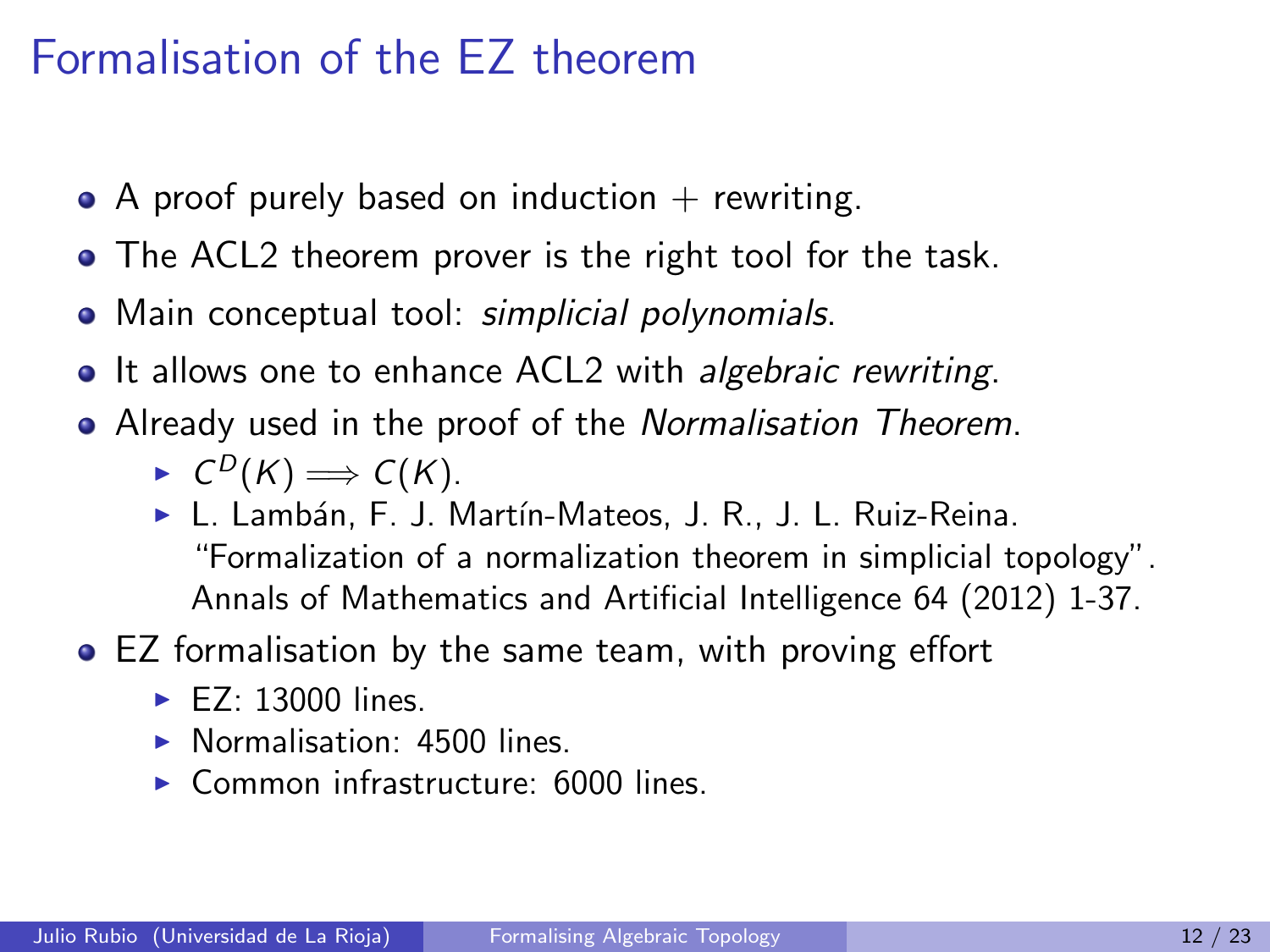### Formalisation of the EZ theorem

- $\bullet$  A proof purely based on induction  $+$  rewriting.
- The ACL2 theorem prover is the right tool for the task.
- Main conceptual tool: simplicial polynomials.
- It allows one to enhance ACL2 with *algebraic rewriting*.
- Already used in the proof of the *Normalisation Theorem*.

 $\blacktriangleright$   $C^D(K) \Longrightarrow C(K)$ .

- ► L. Lambán, F. J. Martín-Mateos, J. R., J. L. Ruiz-Reina. "Formalization of a normalization theorem in simplicial topology". Annals of Mathematics and Artificial Intelligence 64 (2012) 1-37.
- EZ formalisation by the same team, with proving effort
	- $\blacktriangleright$  F7: 13000 lines.
	- $\triangleright$  Normalisation: 4500 lines.
	- $\triangleright$  Common infrastructure: 6000 lines.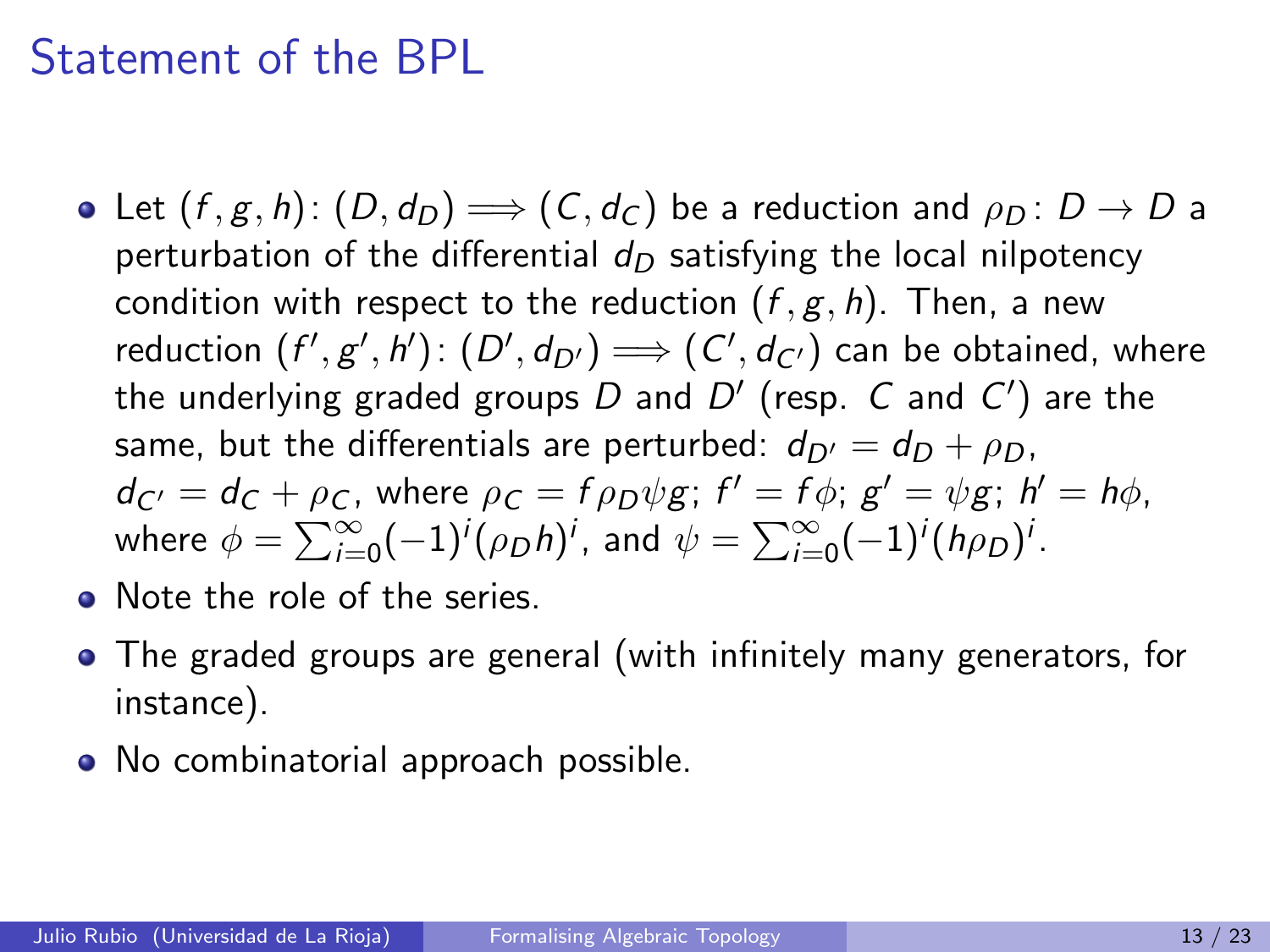#### Statement of the BPL

- Let  $(f, g, h)$ :  $(D, d_D) \Longrightarrow (C, d_C)$  be a reduction and  $\rho_D : D \to D$  a perturbation of the differential  $d_D$  satisfying the local nilpotency condition with respect to the reduction  $(f, g, h)$ . Then, a new reduction  $(f',g',h') \colon (D',d_{D'}) \Longrightarrow (C',d_{C'})$  can be obtained, where the underlying graded groups  $D$  and  $D^{\prime}$  (resp.  $\,C$  and  $\,C^{\prime})$  are the same, but the differentials are perturbed:  $d_{D'} = d_D + \rho_D$ ,  $d_{C'} = d_C + \rho_C$ , where  $\rho_C = f \rho_D \psi g$ ;  $f' = f \phi$ ;  $g' = \psi g$ ;  $h' = h \phi$ , where  $\phi = \sum_{i=0}^{\infty} (-1)^i (\rho_D h)^i$ , and  $\psi = \sum_{i=0}^{\infty} (-1)^i (h \rho_D)^i$ .
- Note the role of the series.
- The graded groups are general (with infinitely many generators, for instance).
- No combinatorial approach possible.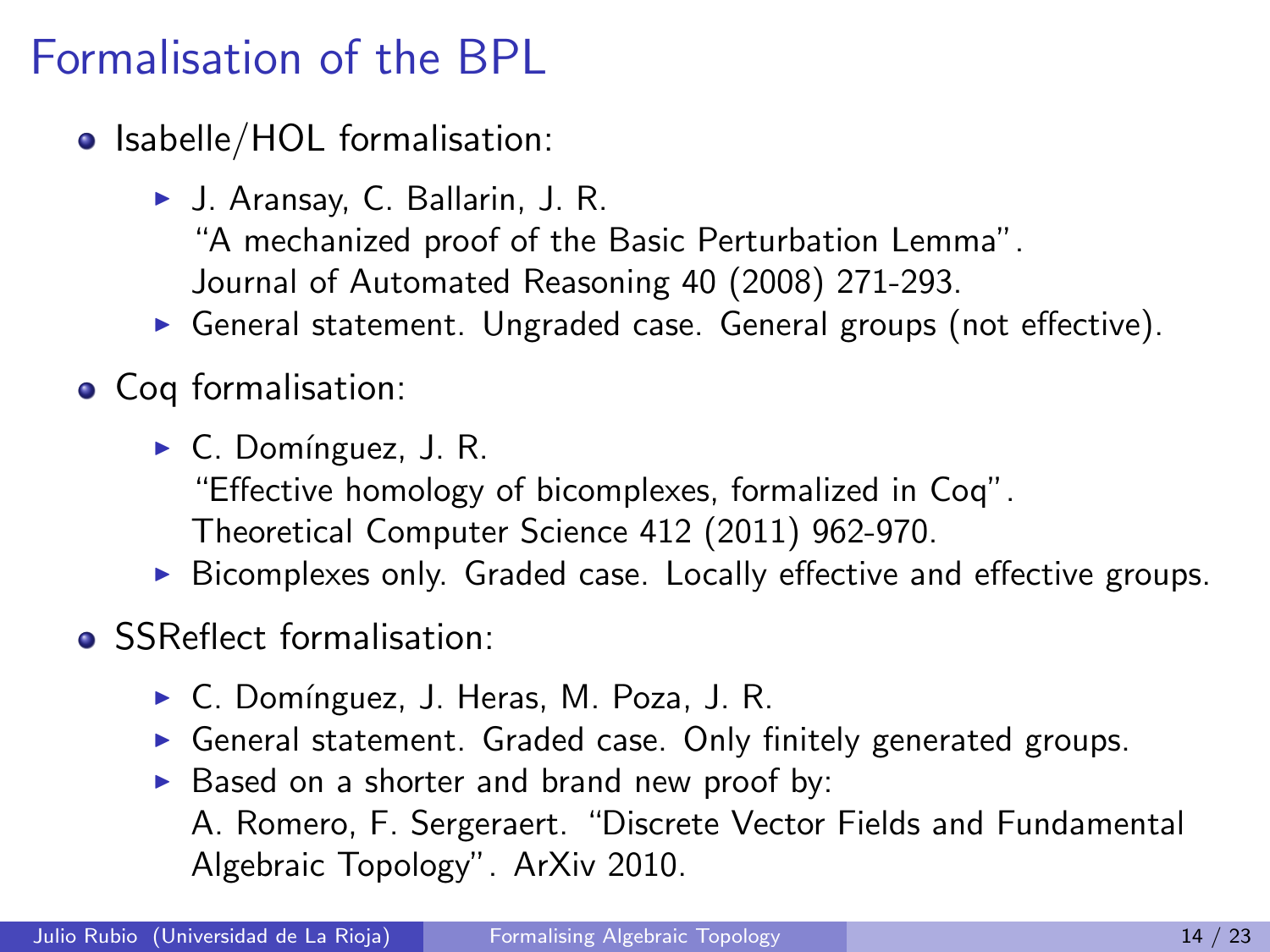# Formalisation of the BPL

- Isabelle/HOL formalisation:
	- ► J. Aransay, C. Ballarin, J. R. "A mechanized proof of the Basic Perturbation Lemma". Journal of Automated Reasoning 40 (2008) 271-293.
	- $\triangleright$  General statement. Ungraded case. General groups (not effective).
- Coq formalisation:
	- $\triangleright$  C. Domínguez, J. R. "Effective homology of bicomplexes, formalized in Coq". Theoretical Computer Science 412 (2011) 962-970.
	- $\triangleright$  Bicomplexes only. Graded case. Locally effective and effective groups.
- SSReflect formalisation:
	- ► C. Domínguez, J. Heras, M. Poza, J. R.
	- $\triangleright$  General statement. Graded case. Only finitely generated groups.
	- $\triangleright$  Based on a shorter and brand new proof by:

A. Romero, F. Sergeraert. "Discrete Vector Fields and Fundamental Algebraic Topology". ArXiv 2010.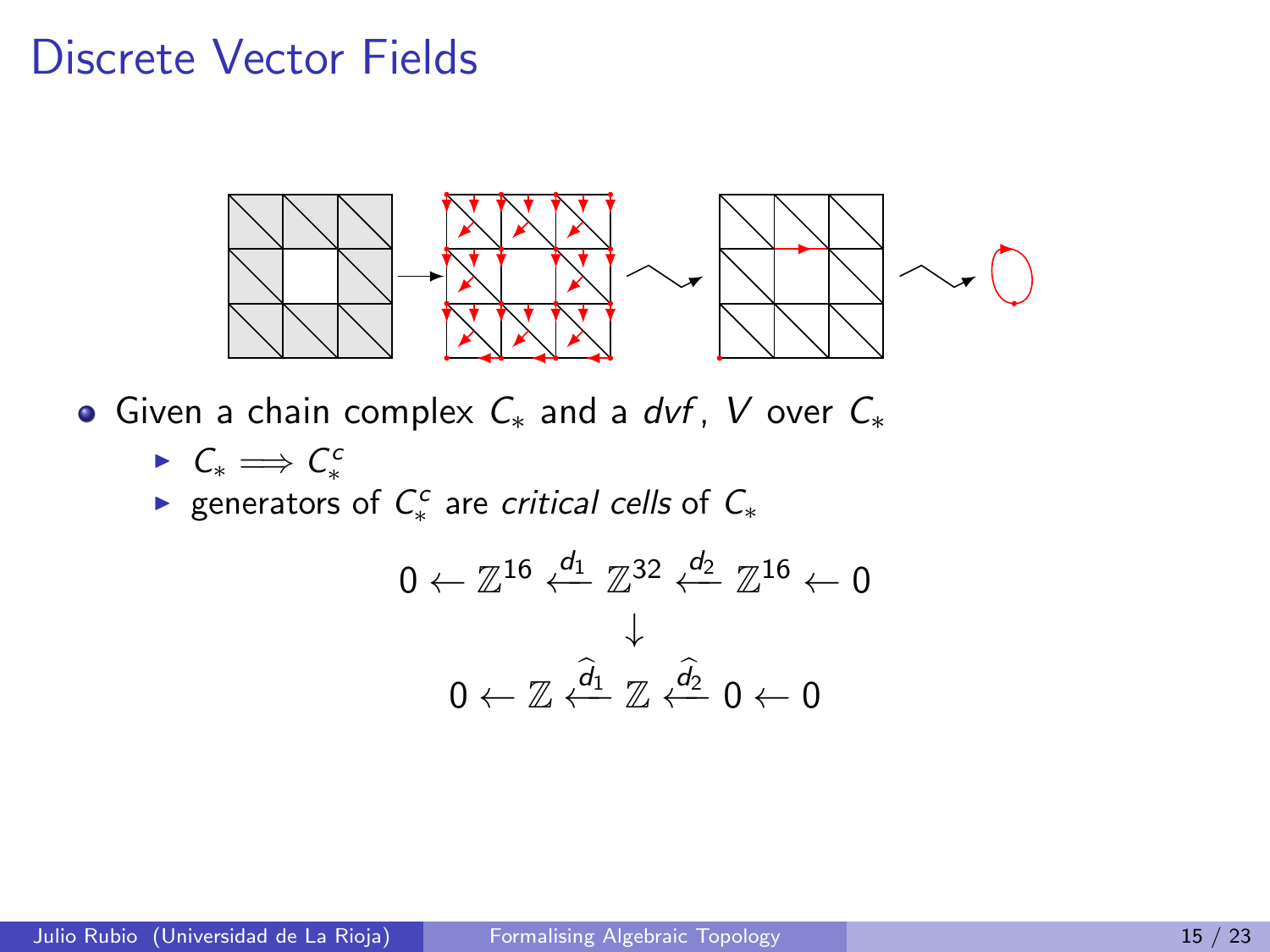#### Discrete Vector Fields



Given a chain complex  $C_*$  and a dvf, V over  $C_*$ 

►  $C_* \Longrightarrow C_*^c$ 

► generators of  $C_*^c$  are critical cells of  $C_*$ 

$$
0 \leftarrow \mathbb{Z}^{16} \stackrel{d_1}{\leftarrow} \mathbb{Z}^{32} \stackrel{d_2}{\leftarrow} \mathbb{Z}^{16} \leftarrow 0
$$

$$
\downarrow
$$

$$
0 \leftarrow \mathbb{Z} \stackrel{\widehat{d}_1}{\leftarrow} \mathbb{Z} \stackrel{\widehat{d}_2}{\leftarrow} 0 \leftarrow 0
$$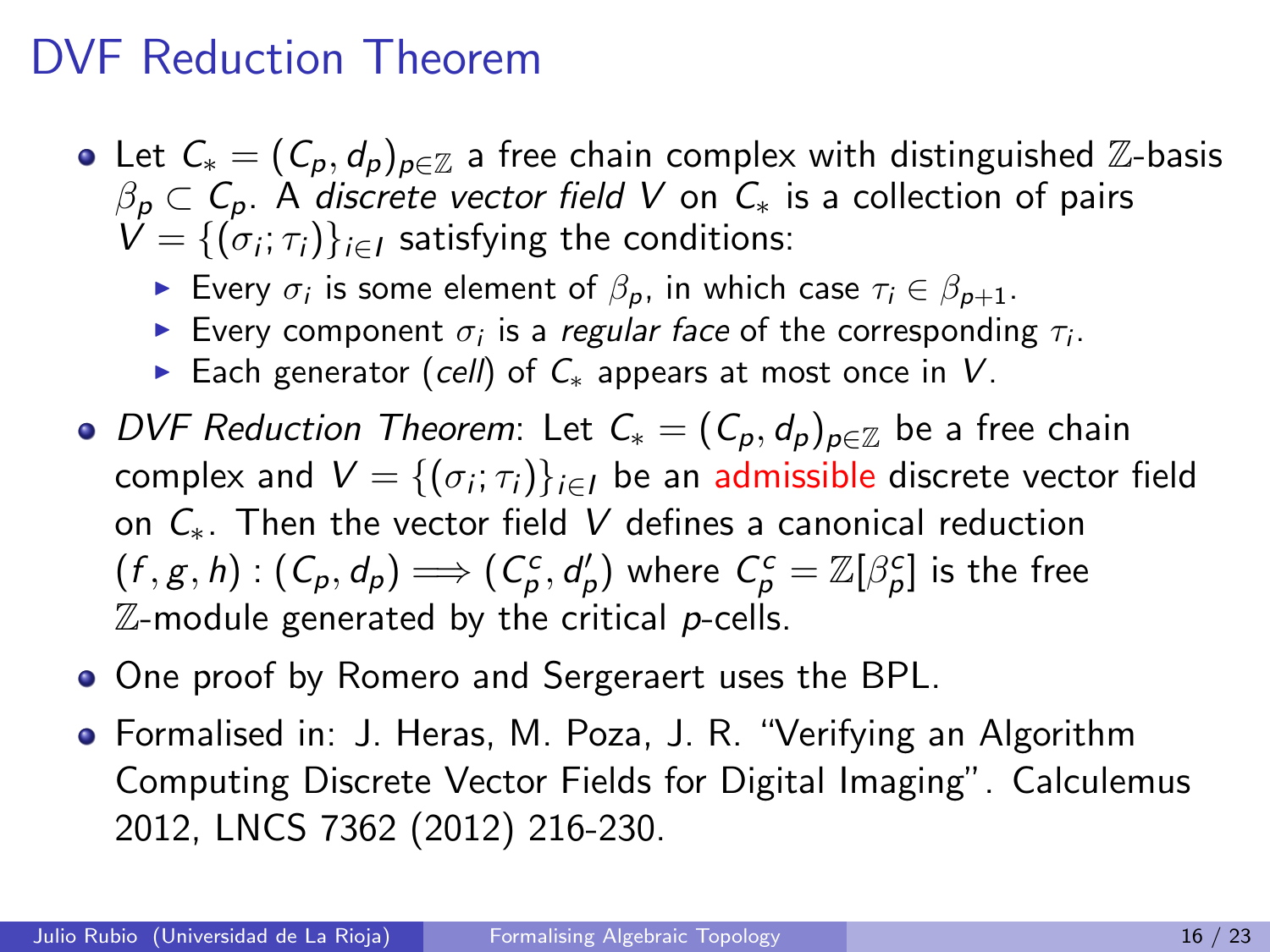#### DVF Reduction Theorem

- Let  $C_* = (C_p, d_p)_{p \in \mathbb{Z}}$  a free chain complex with distinguished  $\mathbb{Z}$ -basis  $\beta_p \subset C_p$ . A discrete vector field V on  $C_*$  is a collection of pairs  $V = \{(\sigma_i; \tau_i)\}_{i \in I}$  satisfying the conditions:
	- ► Every  $\sigma_i$  is some element of  $\beta_p$ , in which case  $\tau_i \in \beta_{p+1}$ .
	- Every component  $\sigma_i$  is a *regular face* of the corresponding  $\tau_i$ .
	- ► Each generator (cell) of  $C_*$  appears at most once in V.
- DVF Reduction Theorem: Let  $C_* = (C_p, d_p)_{p \in \mathbb{Z}}$  be a free chain complex and  $\mathcal{V} = \{(\sigma_i; \tau_i)\}_{i \in I}$  be an admissible discrete vector field on  $C_*$ . Then the vector field V defines a canonical reduction  $(f,g,h)$  :  $(\mathcal{C}_{\rho},d_{\rho}) \Longrightarrow (\mathcal{C}_{\rho}^c,d_{\rho}')$  where  $\mathcal{C}_{\rho}^c = \mathbb{Z}[\beta_{\rho}^c]$  is the free  $\mathbb Z$ -module generated by the critical p-cells.
- One proof by Romero and Sergeraert uses the BPL.
- Formalised in: J. Heras, M. Poza, J. R. "Verifying an Algorithm Computing Discrete Vector Fields for Digital Imaging". Calculemus 2012, LNCS 7362 (2012) 216-230.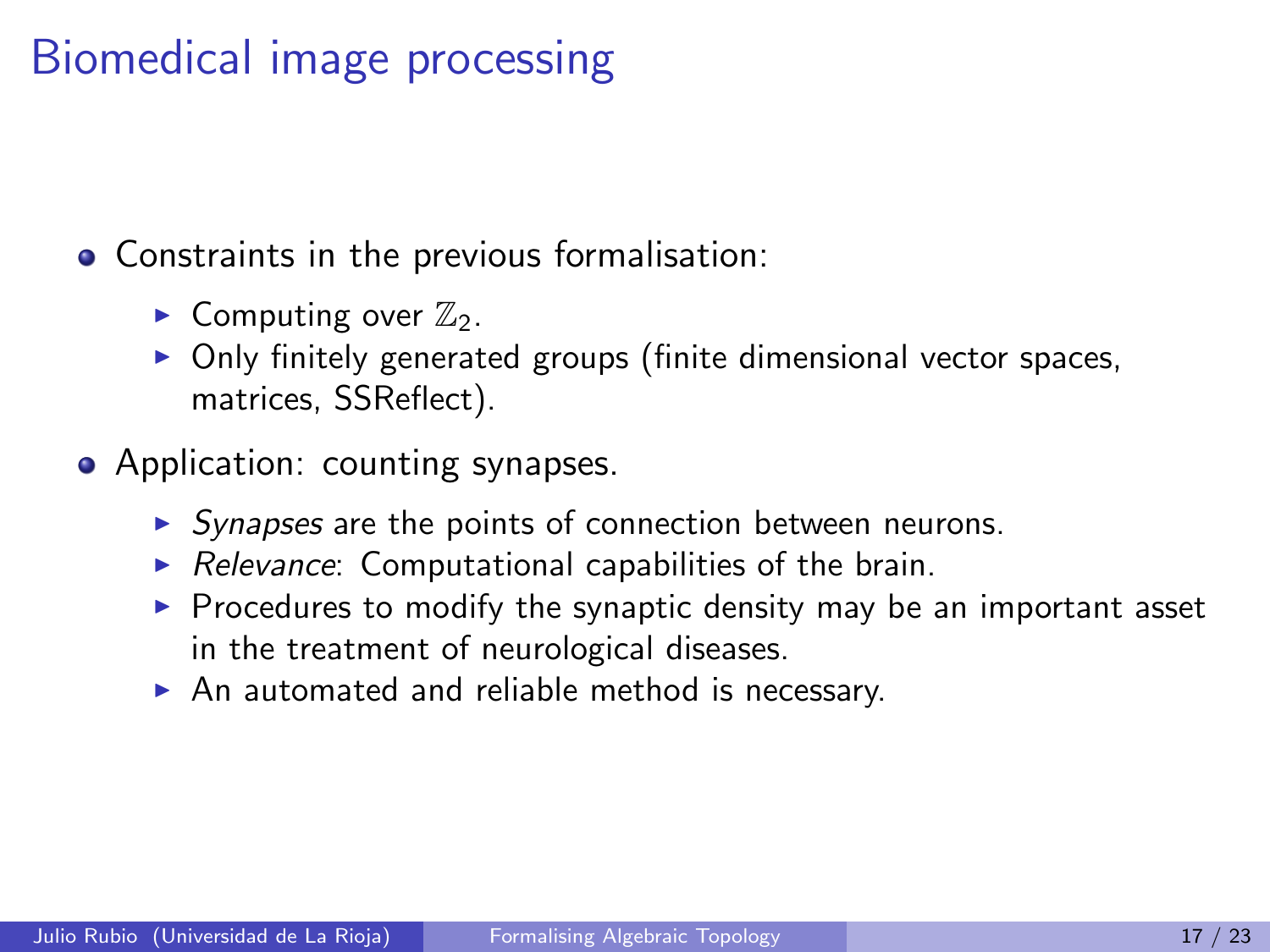# Biomedical image processing

**• Constraints in the previous formalisation:** 

- Computing over  $\mathbb{Z}_2$ .
- $\triangleright$  Only finitely generated groups (finite dimensional vector spaces, matrices, SSReflect).
- Application: counting synapses.
	- $\triangleright$  Synapses are the points of connection between neurons.
	- $\triangleright$  Relevance: Computational capabilities of the brain.
	- $\triangleright$  Procedures to modify the synaptic density may be an important asset in the treatment of neurological diseases.
	- $\triangleright$  An automated and reliable method is necessary.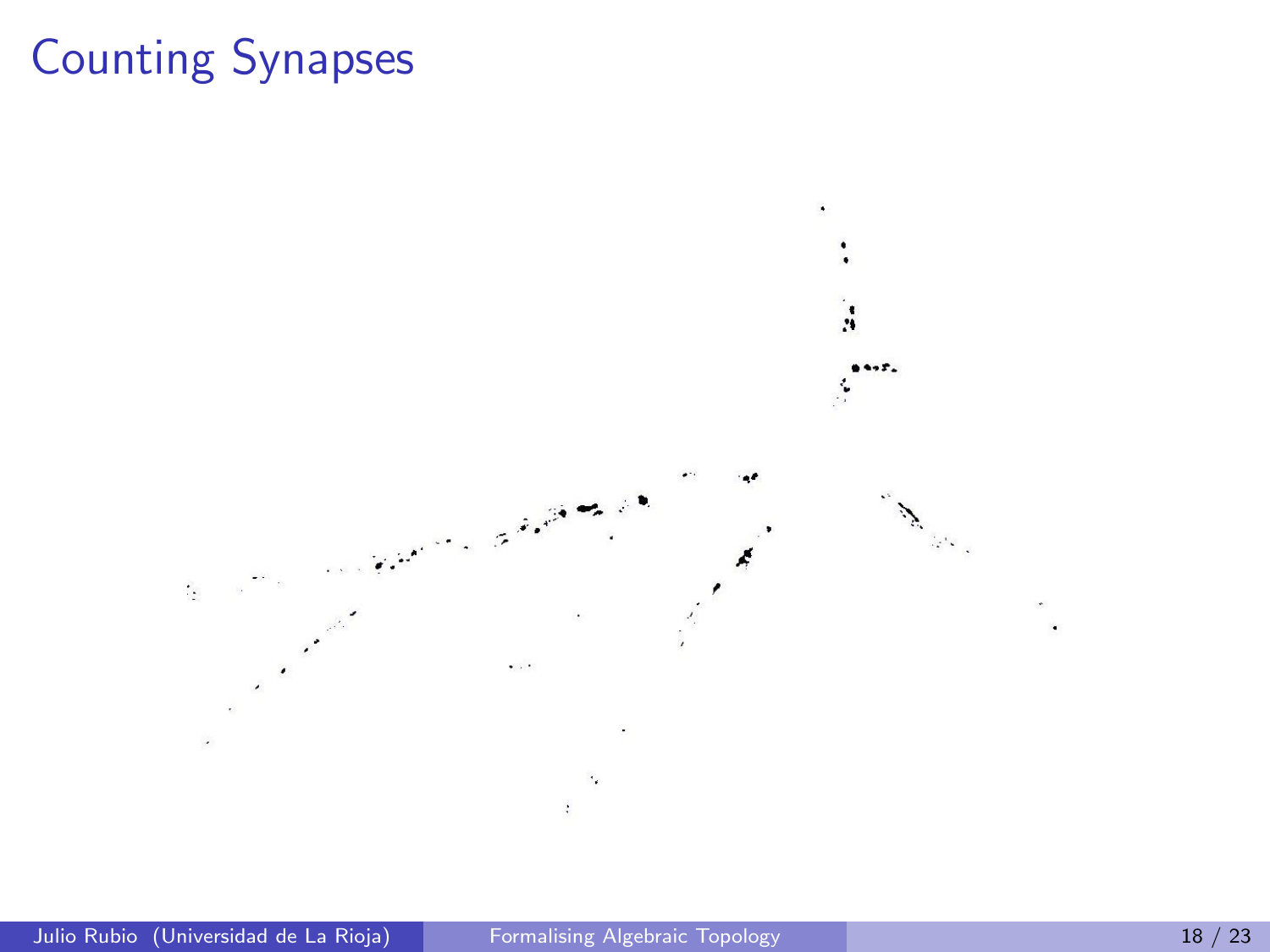# Counting Synapses

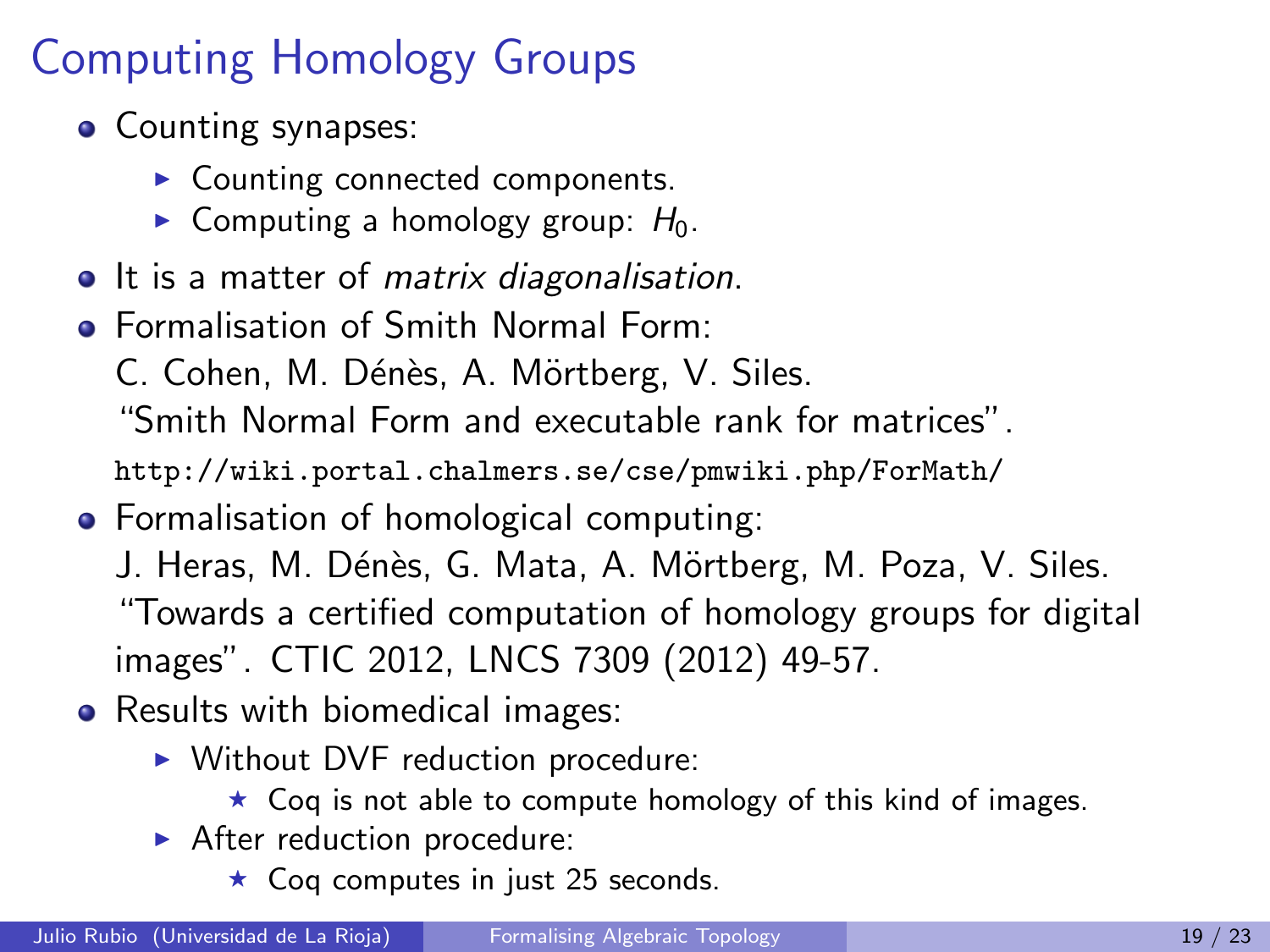# Computing Homology Groups

- Counting synapses:
	- $\triangleright$  Counting connected components.
	- $\triangleright$  Computing a homology group:  $H_0$ .
- It is a matter of *matrix diagonalisation*.
- Formalisation of Smith Normal Form:
	- C. Cohen, M. Dénès, A. Mörtberg, V. Siles.

"Smith Normal Form and executable rank for matrices".

http://wiki.portal.chalmers.se/cse/pmwiki.php/ForMath/

- **•** Formalisation of homological computing:
	- J. Heras, M. Dénès, G. Mata, A. Mörtberg, M. Poza, V. Siles. "Towards a certified computation of homology groups for digital images". CTIC 2012, LNCS 7309 (2012) 49-57.
- Results with biomedical images:
	- $\triangleright$  Without DVF reduction procedure:
		- $\star$  Coq is not able to compute homology of this kind of images.
	- $\blacktriangleright$  After reduction procedure:
		- $\star$  Coq computes in just 25 seconds.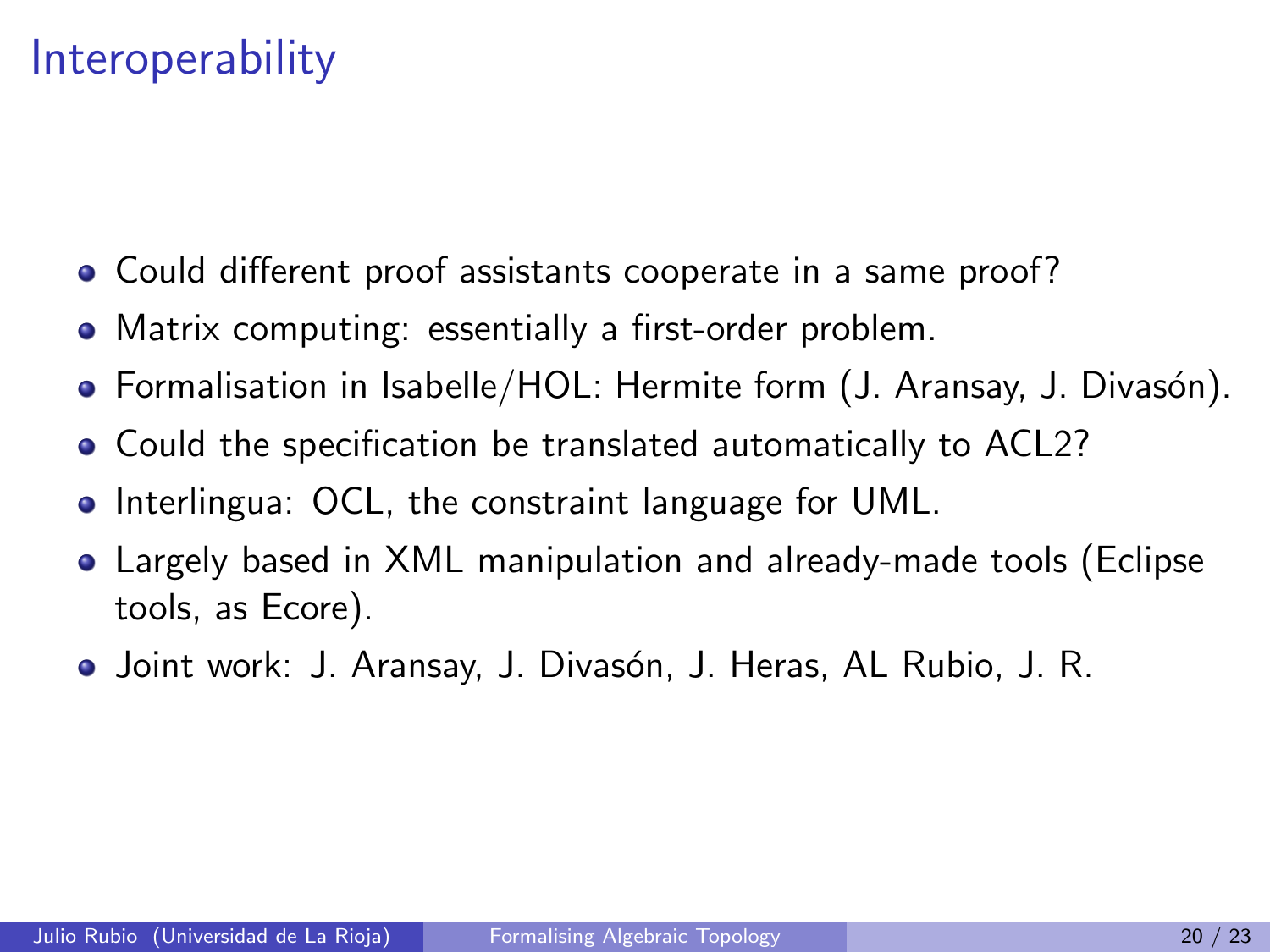#### **Interoperability**

- Could different proof assistants cooperate in a same proof?
- Matrix computing: essentially a first-order problem.
- Formalisation in Isabelle/HOL: Hermite form (J. Aransay, J. Divasón).
- Could the specification be translated automatically to ACL2?
- **•** Interlingua: OCL, the constraint language for UML.
- Largely based in XML manipulation and already-made tools (Eclipse tools, as Ecore).
- **•** Joint work: J. Aransay, J. Divasón, J. Heras, AL Rubio, J. R.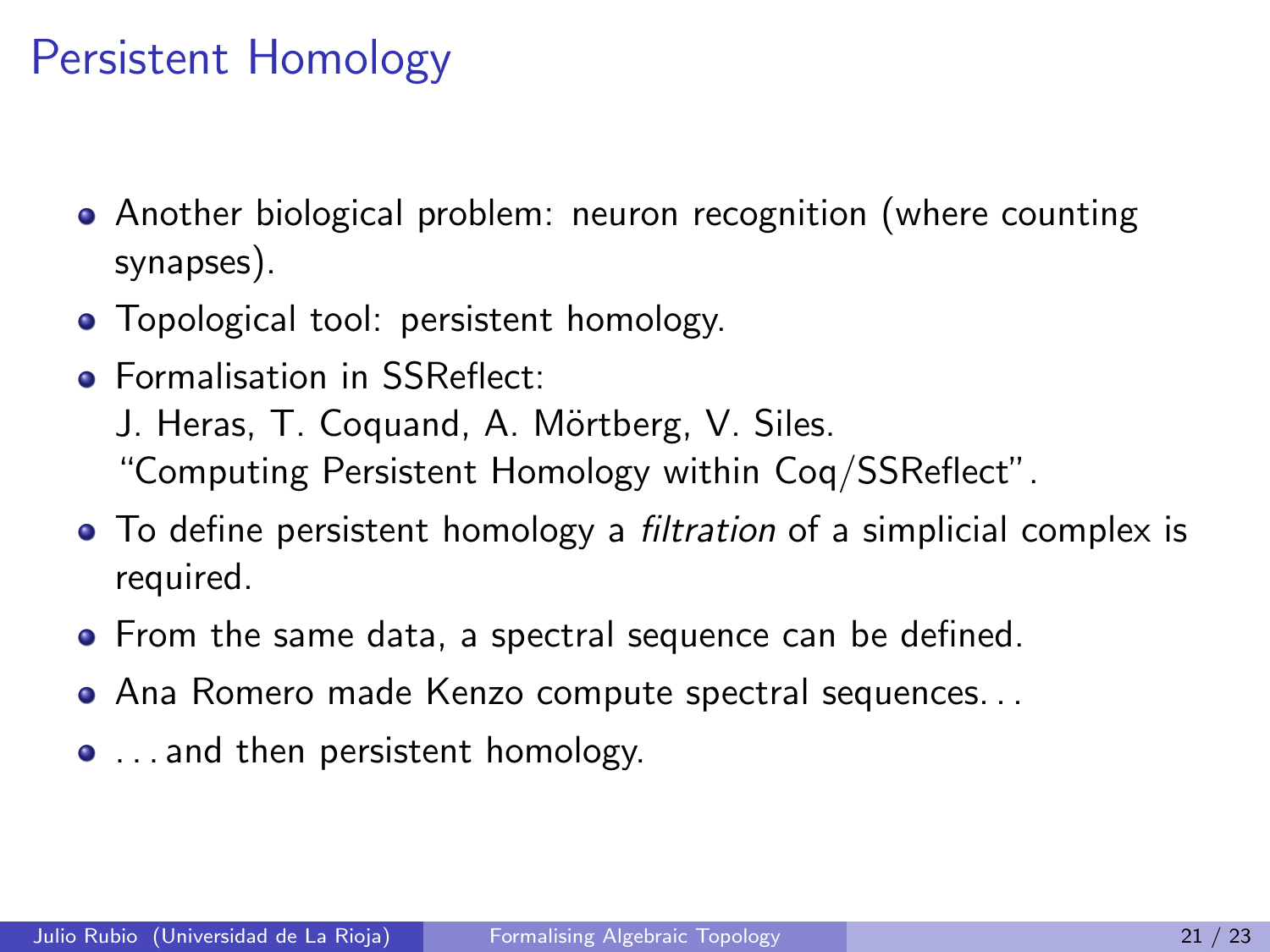#### Persistent Homology

- Another biological problem: neuron recognition (where counting synapses).
- Topological tool: persistent homology.
- **Formalisation in SSReflect:**

J. Heras, T. Coguand, A. Mörtberg, V. Siles. "Computing Persistent Homology within Coq/SSReflect".

- To define persistent homology a *filtration* of a simplicial complex is required.
- From the same data, a spectral sequence can be defined.
- Ana Romero made Kenzo compute spectral sequences. . .
- . . . and then persistent homology.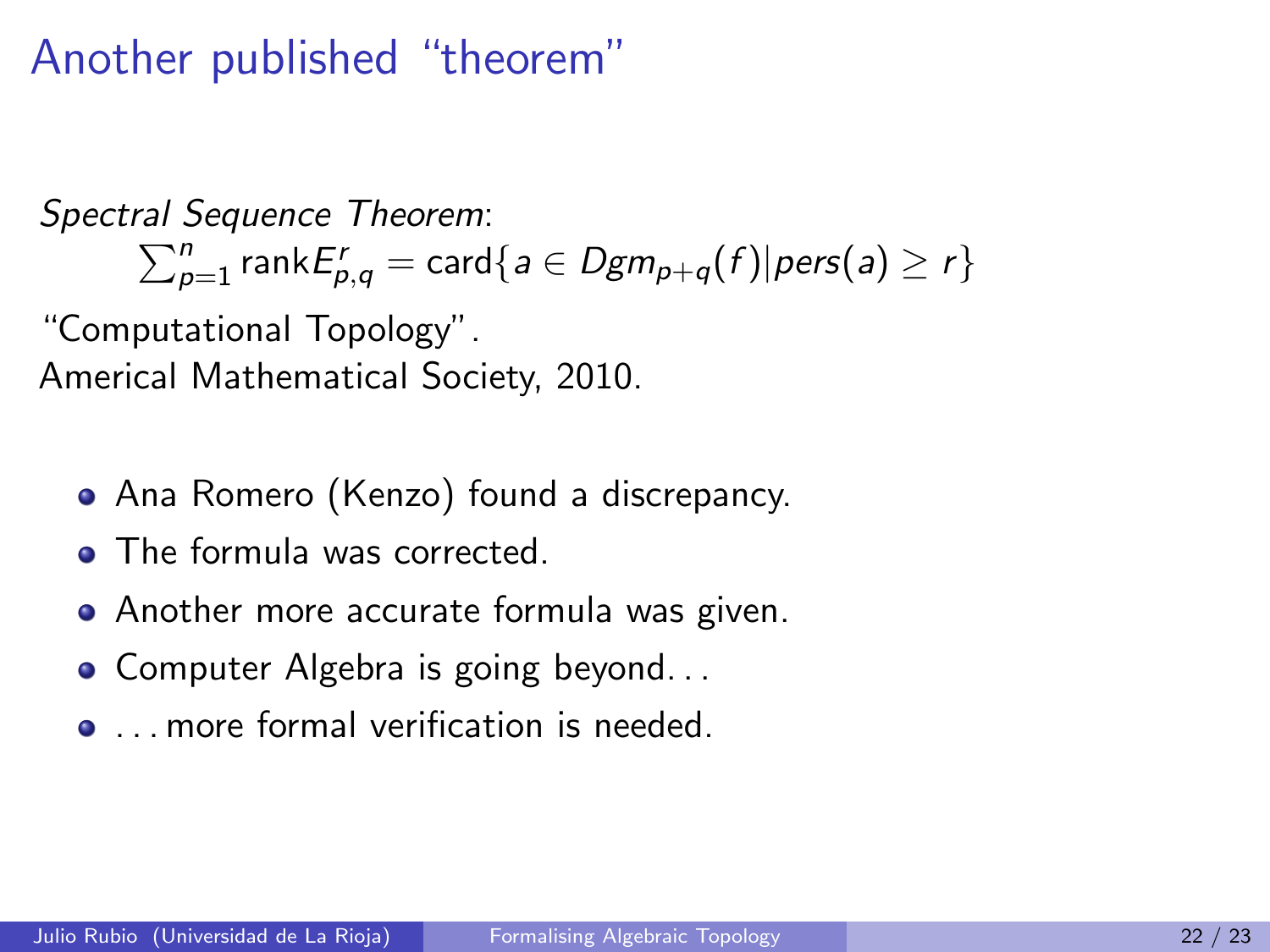#### Another published "theorem"

Spectral Sequence Theorem :  $\sum_{p=1}^{n}$  rank $E_{p,q}^{r} = \textsf{card}\{a \in Dgm_{p+q}(f) | \textit{pers}(a) \geq r\}$ 

"Computational Topology". Americal Mathematical Society, 2010.

- Ana Romero (Kenzo) found a discrepancy.
- The formula was corrected.
- Another more accurate formula was given.
- Computer Algebra is going beyond...
- . . . . more formal verification is needed.